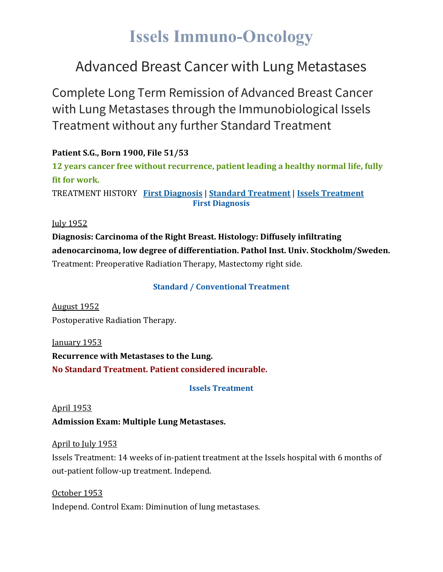# **Issels Immuno-Oncology**

## Advanced Breast Cancer with Lung Metastases

Complete Long Term Remission of Advanced Breast Cancer with Lung Metastases through the Immunobiological Issels Treatment without any further Standard Treatment

**Patient S.G., Born 1900, File 51/53 12 years cancer free without recurrence, patient leading a healthy normal life, fully fit for work.** TREATMENT HISTORY **First [Diagnosis](https://issels.com/cancer-cases/lung-3-advanced-breast-cancer-with-lung-metastases/#First)** | **Standard [Treatment](https://issels.com/cancer-cases/lung-3-advanced-breast-cancer-with-lung-metastases/#Standard)** | **Issels [Treatment](https://issels.com/cancer-cases/lung-3-advanced-breast-cancer-with-lung-metastases/#Issels) First Diagnosis**

July 1952

**Diagnosis: Carcinoma of the Right Breast. Histology: Diffusely infiltrating adenocarcinoma, low degree of differentiation. Pathol Inst. Univ. Stockholm/Sweden.** Treatment: Preoperative Radiation Therapy, Mastectomy right side.

#### **Standard / Conventional Treatment**

August 1952 Postoperative Radiation Therapy.

January 1953 **Recurrence with Metastases to the Lung. No Standard Treatment. Patient considered incurable.**

#### **Issels Treatment**

#### April 1953

**Admission Exam: Multiple Lung Metastases.**

#### April to July 1953

Issels Treatment: 14 weeks of in-patient treatment at the Issels hospital with 6 months of out-patient follow-up treatment. Independ.

October 1953 Independ. Control Exam: Diminution of lung metastases.